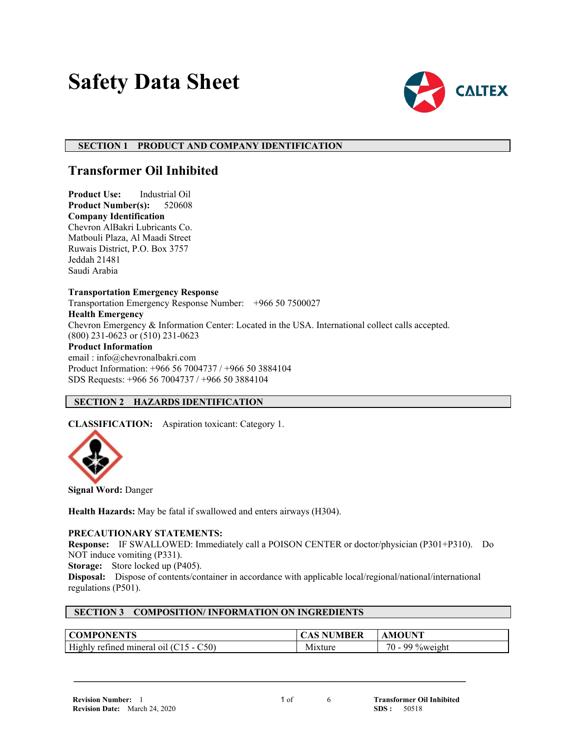# **Safety Data Sheet**



## **SECTION 1 PRODUCT AND COMPANY IDENTIFICATION**

## **Transformer Oil Inhibited**

**Product Use:** Industrial Oil **Product Number(s):** 520608 **Company Identification** Chevron AlBakri Lubricants Co. Matbouli Plaza, Al Maadi Street Ruwais District, P.O. Box 3757 Jeddah 21481 Saudi Arabia

**Transportation Emergency Response** Transportation Emergency Response Number: +966 50 7500027 **Health Emergency** Chevron Emergency & Information Center: Located in the USA. International collect calls accepted. (800) 231-0623 or (510) 231-0623 **Product Information** email : info@chevronalbakri.com Product Information: +966 56 7004737 / +966 50 3884104 SDS Requests: +966 56 7004737 / +966 50 3884104

## **SECTION 2 HAZARDS IDENTIFICATION**

**CLASSIFICATION:** Aspiration toxicant: Category 1.



**Signal Word:** Danger

**Health Hazards:** May be fatal if swallowed and enters airways (H304).

## **PRECAUTIONARY STATEMENTS:**

**Response:** IF SWALLOWED: Immediately call a POISON CENTER or doctor/physician (P301+P310). Do NOT induce vomiting (P331).

**Storage:** Store locked up (P405).

**Disposal:** Dispose of contents/container in accordance with applicable local/regional/national/international regulations (P501).

 **\_\_\_\_\_\_\_\_\_\_\_\_\_\_\_\_\_\_\_\_\_\_\_\_\_\_\_\_\_\_\_\_\_\_\_\_\_\_\_\_\_\_\_\_\_\_\_\_\_\_\_\_\_\_\_\_\_\_\_\_\_\_\_\_\_\_\_\_\_**

## **SECTION 3 COMPOSITION/ INFORMATION ON INGREDIENTS**

| <b>ONENTS</b><br><b>COMP</b>                            | MBER | INT                                                  |
|---------------------------------------------------------|------|------------------------------------------------------|
| Highly<br>C50)<br>refineo :<br>mineral<br>$\Omega$<br>. | . .  | 70<br>$\alpha$ $\alpha$ $\alpha$<br>$\sqrt{0}$ Welgh |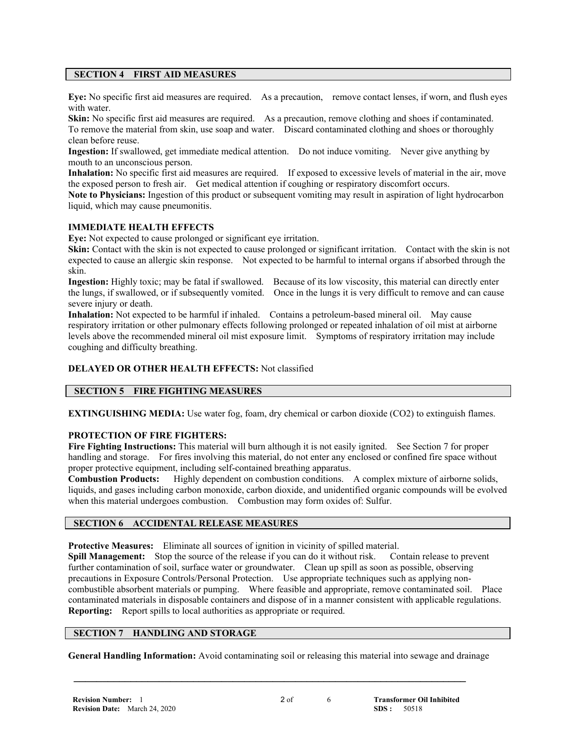## **SECTION 4 FIRST AID MEASURES**

**Eye:** No specific first aid measures are required. As a precaution, remove contact lenses, if worn, and flush eyes with water.

**Skin:** No specific first aid measures are required. As a precaution, remove clothing and shoes if contaminated. To remove the material from skin, use soap and water. Discard contaminated clothing and shoes or thoroughly clean before reuse.

**Ingestion:** If swallowed, get immediate medical attention. Do not induce vomiting. Never give anything by mouth to an unconscious person.

**Inhalation:** No specific first aid measures are required. If exposed to excessive levels of material in the air, move the exposed person to fresh air. Get medical attention if coughing or respiratory discomfort occurs.

**Note to Physicians:** Ingestion of this product or subsequent vomiting may result in aspiration of light hydrocarbon liquid, which may cause pneumonitis.

## **IMMEDIATE HEALTH EFFECTS**

**Eye:** Not expected to cause prolonged or significant eye irritation.

**Skin:** Contact with the skin is not expected to cause prolonged or significant irritation. Contact with the skin is not expected to cause an allergic skin response. Not expected to be harmful to internal organs if absorbed through the skin.

**Ingestion:** Highly toxic; may be fatal if swallowed. Because of its low viscosity, this material can directly enter the lungs, if swallowed, or if subsequently vomited. Once in the lungs it is very difficult to remove and can cause severe injury or death.

**Inhalation:** Not expected to be harmful if inhaled. Contains a petroleum-based mineral oil. May cause respiratory irritation or other pulmonary effects following prolonged or repeated inhalation of oil mist at airborne levels above the recommended mineral oil mist exposure limit. Symptoms of respiratory irritation may include coughing and difficulty breathing.

## **DELAYED OR OTHER HEALTH EFFECTS:** Not classified

## **SECTION 5 FIRE FIGHTING MEASURES**

**EXTINGUISHING MEDIA:** Use water fog, foam, dry chemical or carbon dioxide (CO2) to extinguish flames.

## **PROTECTION OF FIRE FIGHTERS:**

**Fire Fighting Instructions:** This material will burn although it is not easily ignited. See Section 7 for proper handling and storage. For fires involving this material, do not enter any enclosed or confined fire space without proper protective equipment, including self-contained breathing apparatus.

**Combustion Products:** Highly dependent on combustion conditions. A complex mixture of airborne solids, liquids, and gases including carbon monoxide, carbon dioxide, and unidentified organic compounds will be evolved when this material undergoes combustion. Combustion may form oxides of: Sulfur.

## **SECTION 6 ACCIDENTAL RELEASE MEASURES**

**Protective Measures:** Eliminate all sources of ignition in vicinity of spilled material.

**Spill Management:** Stop the source of the release if you can do it without risk. Contain release to prevent further contamination of soil, surface water or groundwater. Clean up spill as soon as possible, observing precautions in Exposure Controls/Personal Protection. Use appropriate techniques such as applying noncombustible absorbent materials or pumping. Where feasible and appropriate, remove contaminated soil. Place contaminated materials in disposable containers and dispose of in a manner consistent with applicable regulations. **Reporting:** Report spills to local authorities as appropriate or required.

## **SECTION 7 HANDLING AND STORAGE**

**General Handling Information:** Avoid contaminating soil or releasing this material into sewage and drainage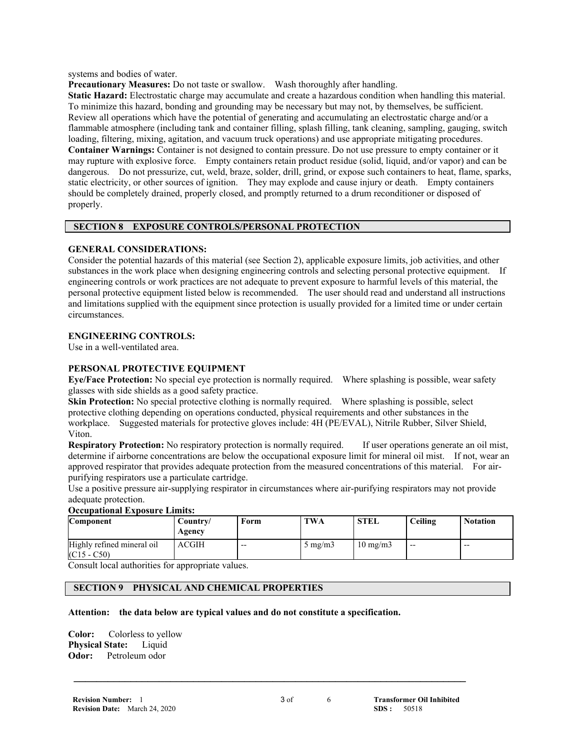systems and bodies of water.

**Precautionary Measures:** Do not taste or swallow. Wash thoroughly after handling.

**Static Hazard:** Electrostatic charge may accumulate and create a hazardous condition when handling this material. To minimize this hazard, bonding and grounding may be necessary but may not, by themselves, be sufficient. Review all operations which have the potential of generating and accumulating an electrostatic charge and/or a flammable atmosphere (including tank and container filling, splash filling, tank cleaning, sampling, gauging, switch loading, filtering, mixing, agitation, and vacuum truck operations) and use appropriate mitigating procedures. **Container Warnings:** Container is not designed to contain pressure. Do not use pressure to empty container or it may rupture with explosive force. Empty containers retain product residue (solid, liquid, and/or vapor) and can be dangerous. Do not pressurize, cut, weld, braze, solder, drill, grind, or expose such containers to heat, flame, sparks, static electricity, or other sources of ignition. They may explode and cause injury or death. Empty containers should be completely drained, properly closed, and promptly returned to a drum reconditioner or disposed of properly.

## **SECTION 8 EXPOSURE CONTROLS/PERSONAL PROTECTION**

## **GENERAL CONSIDERATIONS:**

Consider the potential hazards of this material (see Section 2), applicable exposure limits, job activities, and other substances in the work place when designing engineering controls and selecting personal protective equipment. If engineering controls or work practices are not adequate to prevent exposure to harmful levels of this material, the personal protective equipment listed below is recommended. The user should read and understand all instructions and limitations supplied with the equipment since protection is usually provided for a limited time or under certain circumstances.

## **ENGINEERING CONTROLS:**

Use in a well-ventilated area.

## **PERSONAL PROTECTIVE EQUIPMENT**

**Eye/Face Protection:** No special eye protection is normally required. Where splashing is possible, wear safety glasses with side shields as a good safety practice.

**Skin Protection:** No special protective clothing is normally required. Where splashing is possible, select protective clothing depending on operations conducted, physical requirements and other substances in the workplace. Suggested materials for protective gloves include: 4H (PE/EVAL), Nitrile Rubber, Silver Shield, Viton.

**Respiratory Protection:** No respiratory protection is normally required. If user operations generate an oil mist, determine if airborne concentrations are below the occupational exposure limit for mineral oil mist. If not, wear an approved respirator that provides adequate protection from the measured concentrations of this material. For airpurifying respirators use a particulate cartridge.

Use a positive pressure air-supplying respirator in circumstances where air-purifying respirators may not provide adequate protection.

## **Occupational Exposure Limits:**

| <b>Component</b>                            | Country/<br>Agency | Form  | TWA              | <b>STEL</b>       | Ceiling | <b>Notation</b> |
|---------------------------------------------|--------------------|-------|------------------|-------------------|---------|-----------------|
| Highly refined mineral oil<br>$(C15 - C50)$ | <b>ACGIH</b>       | $- -$ | $5 \text{ mg/m}$ | $10 \text{ mg/m}$ | $- -$   | $- -$           |

Consult local authorities for appropriate values.

## **SECTION 9 PHYSICAL AND CHEMICAL PROPERTIES**

#### **Attention: the data below are typical values and do not constitute a specification.**

**Color:** Colorless to yellow **Physical State:** Liquid **Odor:** Petroleum odor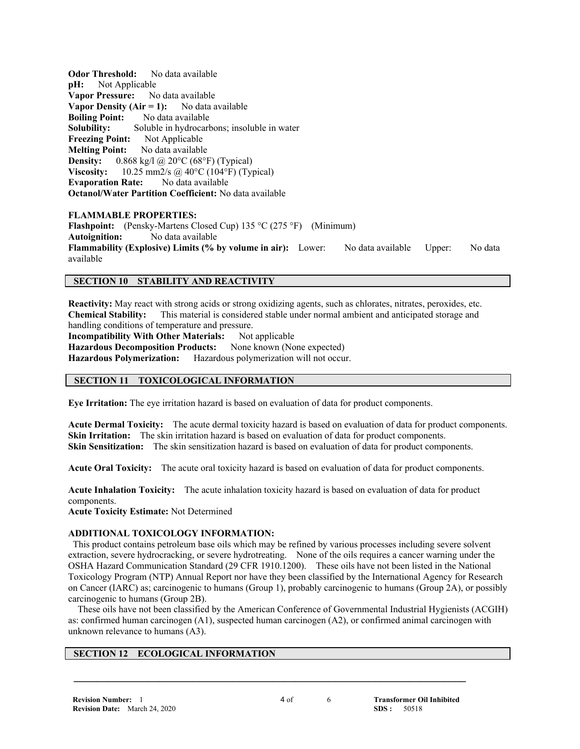**Odor Threshold:** No data available **pH:** Not Applicable **Vapor Pressure:** No data available **Vapor Density (Air = 1):** No data available **Boiling Point:** No data available **Solubility:** Soluble in hydrocarbons; insoluble in water **Freezing Point:** Not Applicable **Melting Point:** No data available **Density:** 0.868 kg/l @ 20°C (68°F) (Typical) **Viscosity:** 10.25 mm2/s @ 40°C (104°F) (Typical) **Evaporation Rate:** No data available **Octanol/Water Partition Coefficient:** No data available

#### **FLAMMABLE PROPERTIES:**

**Flashpoint:** (Pensky-Martens Closed Cup) 135 °C (275 °F) (Minimum) **Autoignition:** No data available **Flammability (Explosive) Limits (% by volume in air):** Lower: No data available Upper: No data available

## **SECTION 10 STABILITY AND REACTIVITY**

**Reactivity:** May react with strong acids or strong oxidizing agents, such as chlorates, nitrates, peroxides, etc. **Chemical Stability:** This material is considered stable under normal ambient and anticipated storage and handling conditions of temperature and pressure. **Incompatibility With Other Materials:** Not applicable Hazardous Decomposition Products: None known (None expected) **Hazardous Polymerization:** Hazardous polymerization will not occur.

## **SECTION 11 TOXICOLOGICAL INFORMATION**

**Eye Irritation:** The eye irritation hazard is based on evaluation of data for product components.

**Acute Dermal Toxicity:** The acute dermal toxicity hazard is based on evaluation of data for product components. **Skin Irritation:** The skin irritation hazard is based on evaluation of data for product components. **Skin Sensitization:** The skin sensitization hazard is based on evaluation of data for product components.

**Acute Oral Toxicity:** The acute oral toxicity hazard is based on evaluation of data for product components.

**Acute Inhalation Toxicity:** The acute inhalation toxicity hazard is based on evaluation of data for product components.

**Acute Toxicity Estimate:** Not Determined

## **ADDITIONAL TOXICOLOGY INFORMATION:**

This product contains petroleum base oils which may be refined by various processes including severe solvent extraction, severe hydrocracking, or severe hydrotreating. None of the oils requires a cancer warning under the OSHA Hazard Communication Standard (29 CFR 1910.1200). These oils have not been listed in the National Toxicology Program (NTP) Annual Report nor have they been classified by the International Agency for Research on Cancer (IARC) as; carcinogenic to humans (Group 1), probably carcinogenic to humans (Group 2A), or possibly carcinogenic to humans (Group 2B).

 These oils have not been classified by the American Conference of Governmental Industrial Hygienists (ACGIH) as: confirmed human carcinogen (A1), suspected human carcinogen (A2), or confirmed animal carcinogen with unknown relevance to humans (A3).

## **SECTION 12 ECOLOGICAL INFORMATION**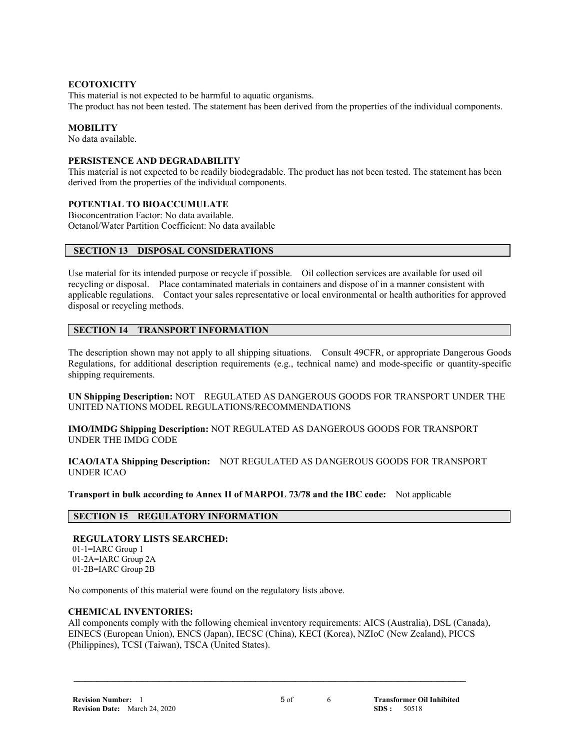## **ECOTOXICITY**

This material is not expected to be harmful to aquatic organisms. The product has not been tested. The statement has been derived from the properties of the individual components.

## **MOBILITY**

No data available.

## **PERSISTENCE AND DEGRADABILITY**

This material is not expected to be readily biodegradable. The product has not been tested. The statement has been derived from the properties of the individual components.

## **POTENTIAL TO BIOACCUMULATE**

Bioconcentration Factor: No data available. Octanol/Water Partition Coefficient: No data available

## **SECTION 13 DISPOSAL CONSIDERATIONS**

Use material for its intended purpose or recycle if possible. Oil collection services are available for used oil recycling or disposal. Place contaminated materials in containers and dispose of in a manner consistent with applicable regulations. Contact your sales representative or local environmental or health authorities for approved disposal or recycling methods.

## **SECTION 14 TRANSPORT INFORMATION**

The description shown may not apply to all shipping situations. Consult 49CFR, or appropriate Dangerous Goods Regulations, for additional description requirements (e.g., technical name) and mode-specific or quantity-specific shipping requirements.

**UN Shipping Description:** NOT REGULATED AS DANGEROUS GOODS FOR TRANSPORT UNDER THE UNITED NATIONS MODEL REGULATIONS/RECOMMENDATIONS

**IMO/IMDG Shipping Description:** NOT REGULATED AS DANGEROUS GOODS FOR TRANSPORT UNDER THE IMDG CODE

**ICAO/IATA Shipping Description:** NOT REGULATED AS DANGEROUS GOODS FOR TRANSPORT UNDER ICAO

**Transport in bulk according to Annex II of MARPOL 73/78 and the IBC code:** Not applicable

## **SECTION 15 REGULATORY INFORMATION**

## **REGULATORY LISTS SEARCHED:**

 01-1=IARC Group 1 01-2A=IARC Group 2A 01-2B=IARC Group 2B

No components of this material were found on the regulatory lists above.

## **CHEMICAL INVENTORIES:**

All components comply with the following chemical inventory requirements: AICS (Australia), DSL (Canada), EINECS (European Union), ENCS (Japan), IECSC (China), KECI (Korea), NZIoC (New Zealand), PICCS (Philippines), TCSI (Taiwan), TSCA (United States).